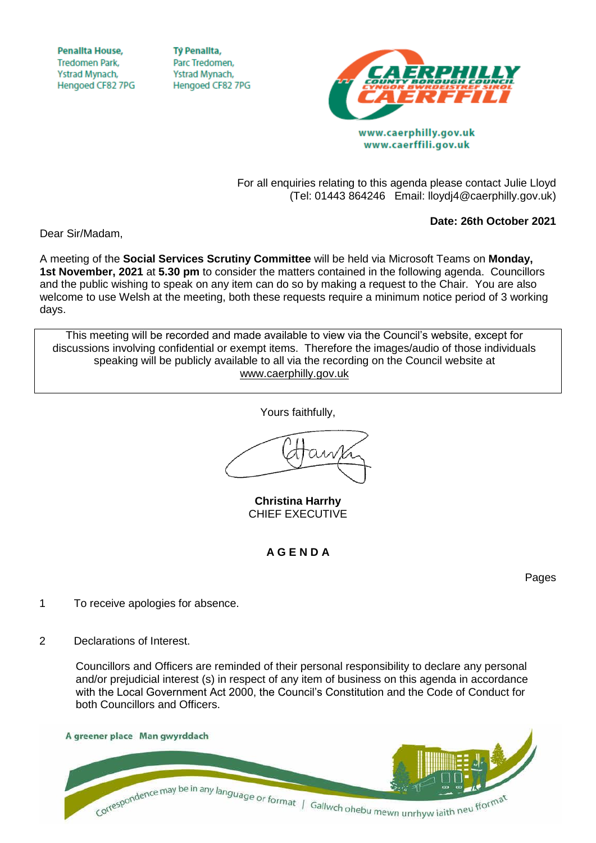**Penallta House, Tredomen Park.** Ystrad Mynach, Hengoed CF82 7PG

**TV Penallta,** Parc Tredomen. Ystrad Mynach, Hengoed CF82 7PG



www.caerphilly.gov.uk www.caerffili.gov.uk

For all enquiries relating to this agenda please contact Julie Lloyd (Tel: 01443 864246 Email: lloydj4@caerphilly.gov.uk)

**Date: 26th October 2021**

Dear Sir/Madam,

A meeting of the **Social Services Scrutiny Committee** will be held via Microsoft Teams on **Monday, 1st November, 2021** at **5.30 pm** to consider the matters contained in the following agenda. Councillors and the public wishing to speak on any item can do so by making a request to the Chair. You are also welcome to use Welsh at the meeting, both these requests require a minimum notice period of 3 working days.

This meeting will be recorded and made available to view via the Council's website, except for discussions involving confidential or exempt items. Therefore the images/audio of those individuals speaking will be publicly available to all via the recording on the Council website at [www.caerphilly.gov.uk](http://www.caerphilly.gov.uk/)

Yours faithfully,

**Christina Harrhy** CHIEF EXECUTIVE

**A G E N D A**

Pages

- 1 To receive apologies for absence.
- 2 Declarations of Interest.

Councillors and Officers are reminded of their personal responsibility to declare any personal and/or prejudicial interest (s) in respect of any item of business on this agenda in accordance with the Local Government Act 2000, the Council's Constitution and the Code of Conduct for both Councillors and Officers.